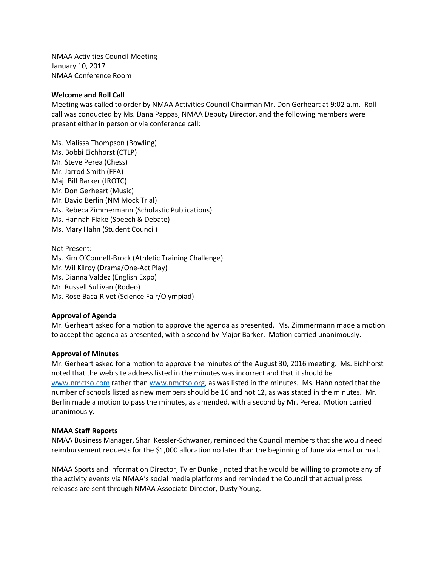NMAA Activities Council Meeting January 10, 2017 NMAA Conference Room

#### **Welcome and Roll Call**

Meeting was called to order by NMAA Activities Council Chairman Mr. Don Gerheart at 9:02 a.m. Roll call was conducted by Ms. Dana Pappas, NMAA Deputy Director, and the following members were present either in person or via conference call:

Ms. Malissa Thompson (Bowling) Ms. Bobbi Eichhorst (CTLP) Mr. Steve Perea (Chess) Mr. Jarrod Smith (FFA) Maj. Bill Barker (JROTC) Mr. Don Gerheart (Music) Mr. David Berlin (NM Mock Trial) Ms. Rebeca Zimmermann (Scholastic Publications) Ms. Hannah Flake (Speech & Debate) Ms. Mary Hahn (Student Council)

Not Present: Ms. Kim O'Connell-Brock (Athletic Training Challenge) Mr. Wil Kilroy (Drama/One-Act Play) Ms. Dianna Valdez (English Expo) Mr. Russell Sullivan (Rodeo) Ms. Rose Baca-Rivet (Science Fair/Olympiad)

# **Approval of Agenda**

Mr. Gerheart asked for a motion to approve the agenda as presented. Ms. Zimmermann made a motion to accept the agenda as presented, with a second by Major Barker. Motion carried unanimously.

#### **Approval of Minutes**

Mr. Gerheart asked for a motion to approve the minutes of the August 30, 2016 meeting. Ms. Eichhorst noted that the web site address listed in the minutes was incorrect and that it should be [www.nmctso.com](http://www.nmctso.com/) rather than [www.nmctso.org,](http://www.nmctso.org/) as was listed in the minutes. Ms. Hahn noted that the number of schools listed as new members should be 16 and not 12, as was stated in the minutes. Mr. Berlin made a motion to pass the minutes, as amended, with a second by Mr. Perea. Motion carried unanimously.

#### **NMAA Staff Reports**

NMAA Business Manager, Shari Kessler-Schwaner, reminded the Council members that she would need reimbursement requests for the \$1,000 allocation no later than the beginning of June via email or mail.

NMAA Sports and Information Director, Tyler Dunkel, noted that he would be willing to promote any of the activity events via NMAA's social media platforms and reminded the Council that actual press releases are sent through NMAA Associate Director, Dusty Young.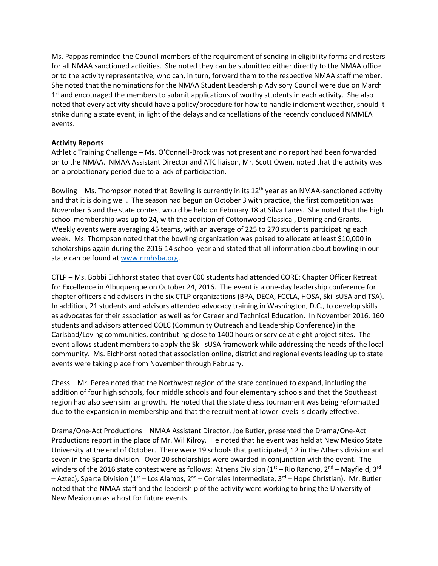Ms. Pappas reminded the Council members of the requirement of sending in eligibility forms and rosters for all NMAA sanctioned activities. She noted they can be submitted either directly to the NMAA office or to the activity representative, who can, in turn, forward them to the respective NMAA staff member. She noted that the nominations for the NMAA Student Leadership Advisory Council were due on March 1<sup>st</sup> and encouraged the members to submit applications of worthy students in each activity. She also noted that every activity should have a policy/procedure for how to handle inclement weather, should it strike during a state event, in light of the delays and cancellations of the recently concluded NMMEA events.

# **Activity Reports**

Athletic Training Challenge – Ms. O'Connell-Brock was not present and no report had been forwarded on to the NMAA. NMAA Assistant Director and ATC liaison, Mr. Scott Owen, noted that the activity was on a probationary period due to a lack of participation.

Bowling – Ms. Thompson noted that Bowling is currently in its 12<sup>th</sup> year as an NMAA-sanctioned activity and that it is doing well. The season had begun on October 3 with practice, the first competition was November 5 and the state contest would be held on February 18 at Silva Lanes. She noted that the high school membership was up to 24, with the addition of Cottonwood Classical, Deming and Grants. Weekly events were averaging 45 teams, with an average of 225 to 270 students participating each week. Ms. Thompson noted that the bowling organization was poised to allocate at least \$10,000 in scholarships again during the 2016-14 school year and stated that all information about bowling in our state can be found at [www.nmhsba.org.](http://www.nmhsba.org/)

CTLP – Ms. Bobbi Eichhorst stated that over 600 students had attended CORE: Chapter Officer Retreat for Excellence in Albuquerque on October 24, 2016. The event is a one-day leadership conference for chapter officers and advisors in the six CTLP organizations (BPA, DECA, FCCLA, HOSA, SkillsUSA and TSA). In addition, 21 students and advisors attended advocacy training in Washington, D.C., to develop skills as advocates for their association as well as for Career and Technical Education. In November 2016, 160 students and advisors attended COLC (Community Outreach and Leadership Conference) in the Carlsbad/Loving communities, contributing close to 1400 hours or service at eight project sites. The event allows student members to apply the SkillsUSA framework while addressing the needs of the local community. Ms. Eichhorst noted that association online, district and regional events leading up to state events were taking place from November through February.

Chess – Mr. Perea noted that the Northwest region of the state continued to expand, including the addition of four high schools, four middle schools and four elementary schools and that the Southeast region had also seen similar growth. He noted that the state chess tournament was being reformatted due to the expansion in membership and that the recruitment at lower levels is clearly effective.

Drama/One-Act Productions – NMAA Assistant Director, Joe Butler, presented the Drama/One-Act Productions report in the place of Mr. Wil Kilroy. He noted that he event was held at New Mexico State University at the end of October. There were 19 schools that participated, 12 in the Athens division and seven in the Sparta division. Over 20 scholarships were awarded in conjunction with the event. The winders of the 2016 state contest were as follows: Athens Division ( $1<sup>st</sup>$  – Rio Rancho,  $2<sup>nd</sup>$  – Mayfield,  $3<sup>rd</sup>$ – Aztec), Sparta Division (1<sup>st</sup> – Los Alamos, 2<sup>nd</sup> – Corrales Intermediate, 3<sup>rd</sup> – Hope Christian). Mr. Butler noted that the NMAA staff and the leadership of the activity were working to bring the University of New Mexico on as a host for future events.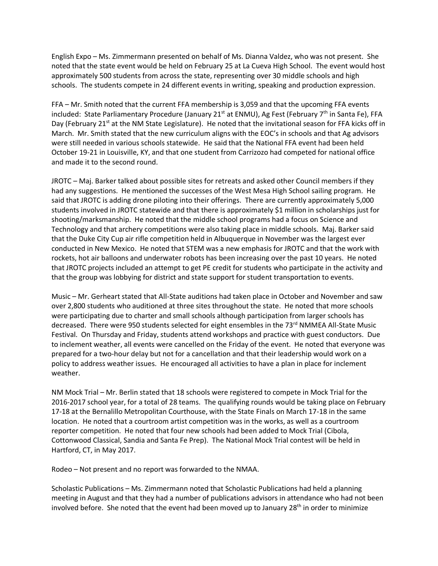English Expo – Ms. Zimmermann presented on behalf of Ms. Dianna Valdez, who was not present. She noted that the state event would be held on February 25 at La Cueva High School. The event would host approximately 500 students from across the state, representing over 30 middle schools and high schools. The students compete in 24 different events in writing, speaking and production expression.

FFA – Mr. Smith noted that the current FFA membership is 3,059 and that the upcoming FFA events included: State Parliamentary Procedure (January 21<sup>st</sup> at ENMU), Ag Fest (February 7<sup>th</sup> in Santa Fe), FFA Day (February 21<sup>st</sup> at the NM State Legislature). He noted that the invitational season for FFA kicks off in March. Mr. Smith stated that the new curriculum aligns with the EOC's in schools and that Ag advisors were still needed in various schools statewide. He said that the National FFA event had been held October 19-21 in Louisville, KY, and that one student from Carrizozo had competed for national office and made it to the second round.

JROTC – Maj. Barker talked about possible sites for retreats and asked other Council members if they had any suggestions. He mentioned the successes of the West Mesa High School sailing program. He said that JROTC is adding drone piloting into their offerings. There are currently approximately 5,000 students involved in JROTC statewide and that there is approximately \$1 million in scholarships just for shooting/marksmanship. He noted that the middle school programs had a focus on Science and Technology and that archery competitions were also taking place in middle schools. Maj. Barker said that the Duke City Cup air rifle competition held in Albuquerque in November was the largest ever conducted in New Mexico. He noted that STEM was a new emphasis for JROTC and that the work with rockets, hot air balloons and underwater robots has been increasing over the past 10 years. He noted that JROTC projects included an attempt to get PE credit for students who participate in the activity and that the group was lobbying for district and state support for student transportation to events.

Music – Mr. Gerheart stated that All-State auditions had taken place in October and November and saw over 2,800 students who auditioned at three sites throughout the state. He noted that more schools were participating due to charter and small schools although participation from larger schools has decreased. There were 950 students selected for eight ensembles in the 73<sup>rd</sup> NMMEA All-State Music Festival. On Thursday and Friday, students attend workshops and practice with guest conductors. Due to inclement weather, all events were cancelled on the Friday of the event. He noted that everyone was prepared for a two-hour delay but not for a cancellation and that their leadership would work on a policy to address weather issues. He encouraged all activities to have a plan in place for inclement weather.

NM Mock Trial – Mr. Berlin stated that 18 schools were registered to compete in Mock Trial for the 2016-2017 school year, for a total of 28 teams. The qualifying rounds would be taking place on February 17-18 at the Bernalillo Metropolitan Courthouse, with the State Finals on March 17-18 in the same location. He noted that a courtroom artist competition was in the works, as well as a courtroom reporter competition. He noted that four new schools had been added to Mock Trial (Cibola, Cottonwood Classical, Sandia and Santa Fe Prep). The National Mock Trial contest will be held in Hartford, CT, in May 2017.

Rodeo – Not present and no report was forwarded to the NMAA.

Scholastic Publications – Ms. Zimmermann noted that Scholastic Publications had held a planning meeting in August and that they had a number of publications advisors in attendance who had not been involved before. She noted that the event had been moved up to January  $28<sup>th</sup>$  in order to minimize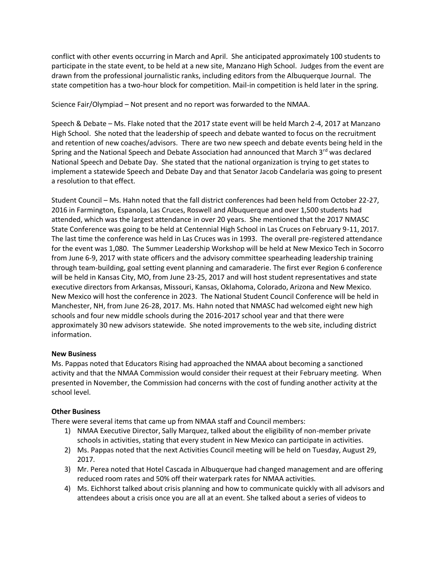conflict with other events occurring in March and April. She anticipated approximately 100 students to participate in the state event, to be held at a new site, Manzano High School. Judges from the event are drawn from the professional journalistic ranks, including editors from the Albuquerque Journal. The state competition has a two-hour block for competition. Mail-in competition is held later in the spring.

Science Fair/Olympiad – Not present and no report was forwarded to the NMAA.

Speech & Debate – Ms. Flake noted that the 2017 state event will be held March 2-4, 2017 at Manzano High School. She noted that the leadership of speech and debate wanted to focus on the recruitment and retention of new coaches/advisors. There are two new speech and debate events being held in the Spring and the National Speech and Debate Association had announced that March 3rd was declared National Speech and Debate Day. She stated that the national organization is trying to get states to implement a statewide Speech and Debate Day and that Senator Jacob Candelaria was going to present a resolution to that effect.

Student Council – Ms. Hahn noted that the fall district conferences had been held from October 22-27, 2016 in Farmington, Espanola, Las Cruces, Roswell and Albuquerque and over 1,500 students had attended, which was the largest attendance in over 20 years. She mentioned that the 2017 NMASC State Conference was going to be held at Centennial High School in Las Cruces on February 9-11, 2017. The last time the conference was held in Las Cruces was in 1993. The overall pre-registered attendance for the event was 1,080. The Summer Leadership Workshop will be held at New Mexico Tech in Socorro from June 6-9, 2017 with state officers and the advisory committee spearheading leadership training through team-building, goal setting event planning and camaraderie. The first ever Region 6 conference will be held in Kansas City, MO, from June 23-25, 2017 and will host student representatives and state executive directors from Arkansas, Missouri, Kansas, Oklahoma, Colorado, Arizona and New Mexico. New Mexico will host the conference in 2023. The National Student Council Conference will be held in Manchester, NH, from June 26-28, 2017. Ms. Hahn noted that NMASC had welcomed eight new high schools and four new middle schools during the 2016-2017 school year and that there were approximately 30 new advisors statewide. She noted improvements to the web site, including district information.

# **New Business**

Ms. Pappas noted that Educators Rising had approached the NMAA about becoming a sanctioned activity and that the NMAA Commission would consider their request at their February meeting. When presented in November, the Commission had concerns with the cost of funding another activity at the school level.

# **Other Business**

There were several items that came up from NMAA staff and Council members:

- 1) NMAA Executive Director, Sally Marquez, talked about the eligibility of non-member private schools in activities, stating that every student in New Mexico can participate in activities.
- 2) Ms. Pappas noted that the next Activities Council meeting will be held on Tuesday, August 29, 2017.
- 3) Mr. Perea noted that Hotel Cascada in Albuquerque had changed management and are offering reduced room rates and 50% off their waterpark rates for NMAA activities.
- 4) Ms. Eichhorst talked about crisis planning and how to communicate quickly with all advisors and attendees about a crisis once you are all at an event. She talked about a series of videos to